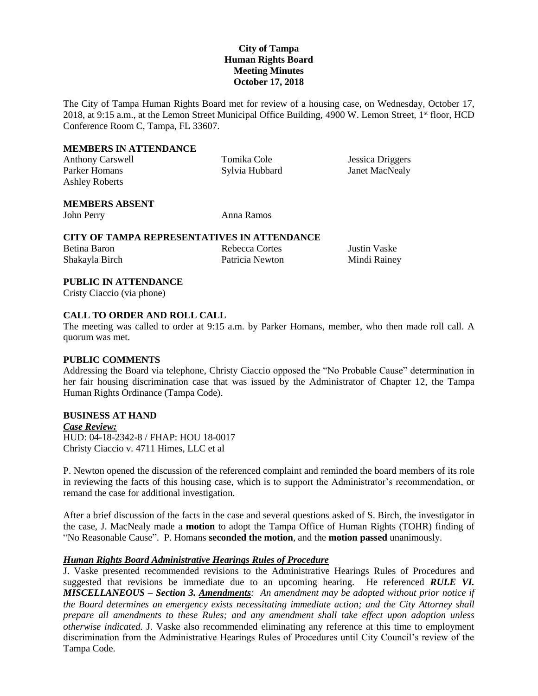# **City of Tampa Human Rights Board Meeting Minutes October 17, 2018**

The City of Tampa Human Rights Board met for review of a housing case, on Wednesday, October 17, 2018, at 9:15 a.m., at the Lemon Street Municipal Office Building, 4900 W. Lemon Street, 1<sup>st</sup> floor, HCD Conference Room C, Tampa, FL 33607.

#### **MEMBERS IN ATTENDANCE**

Parker Homans Sylvia Hubbard Janet MacNealy Ashley Roberts

Anthony Carswell Tomika Cole Jessica Driggers

# **MEMBERS ABSENT**

John Perry Anna Ramos

### **CITY OF TAMPA REPRESENTATIVES IN ATTENDANCE**

Betina Baron Rebecca Cortes Justin Vaske Shakayla Birch Patricia Newton Mindi Rainey

# **PUBLIC IN ATTENDANCE**

Cristy Ciaccio (via phone)

# **CALL TO ORDER AND ROLL CALL**

The meeting was called to order at 9:15 a.m. by Parker Homans, member, who then made roll call. A quorum was met.

#### **PUBLIC COMMENTS**

Addressing the Board via telephone, Christy Ciaccio opposed the "No Probable Cause" determination in her fair housing discrimination case that was issued by the Administrator of Chapter 12, the Tampa Human Rights Ordinance (Tampa Code).

# **BUSINESS AT HAND**

*Case Review:* HUD: 04-18-2342-8 / FHAP: HOU 18-0017 Christy Ciaccio v. 4711 Himes, LLC et al

P. Newton opened the discussion of the referenced complaint and reminded the board members of its role in reviewing the facts of this housing case, which is to support the Administrator's recommendation, or remand the case for additional investigation.

After a brief discussion of the facts in the case and several questions asked of S. Birch, the investigator in the case, J. MacNealy made a **motion** to adopt the Tampa Office of Human Rights (TOHR) finding of "No Reasonable Cause". P. Homans **seconded the motion**, and the **motion passed** unanimously.

#### *Human Rights Board Administrative Hearings Rules of Procedure*

J. Vaske presented recommended revisions to the Administrative Hearings Rules of Procedures and suggested that revisions be immediate due to an upcoming hearing. He referenced *RULE VI. MISCELLANEOUS – Section 3. Amendments: An amendment may be adopted without prior notice if the Board determines an emergency exists necessitating immediate action; and the City Attorney shall prepare all amendments to these Rules; and any amendment shall take effect upon adoption unless otherwise indicated.* J. Vaske also recommended eliminating any reference at this time to employment discrimination from the Administrative Hearings Rules of Procedures until City Council's review of the Tampa Code.